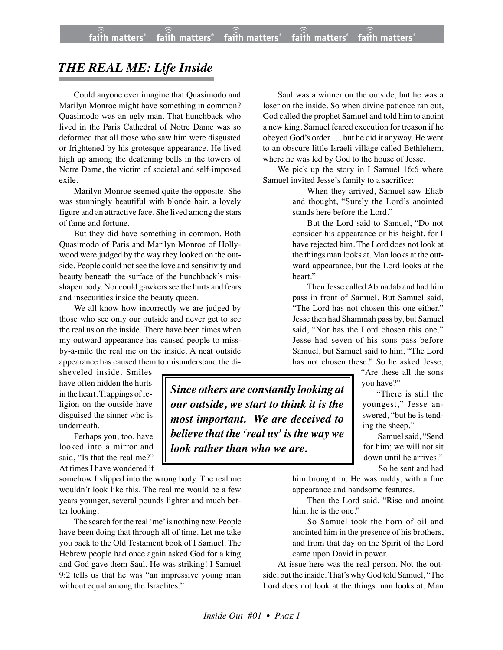## *THE REAL ME: Life Inside*

Could anyone ever imagine that Quasimodo and Marilyn Monroe might have something in common? Quasimodo was an ugly man. That hunchback who lived in the Paris Cathedral of Notre Dame was so deformed that all those who saw him were disgusted or frightened by his grotesque appearance. He lived high up among the deafening bells in the towers of Notre Dame, the victim of societal and self-imposed exile.

Marilyn Monroe seemed quite the opposite. She was stunningly beautiful with blonde hair, a lovely figure and an attractive face. She lived among the stars of fame and fortune.

But they did have something in common. Both Quasimodo of Paris and Marilyn Monroe of Hollywood were judged by the way they looked on the outside. People could not see the love and sensitivity and beauty beneath the surface of the hunchback's misshapen body. Nor could gawkers see the hurts and fears and insecurities inside the beauty queen.

We all know how incorrectly we are judged by those who see only our outside and never get to see the real us on the inside. There have been times when my outward appearance has caused people to missby-a-mile the real me on the inside. A neat outside appearance has caused them to misunderstand the di-

sheveled inside. Smiles have often hidden the hurts in the heart. Trappings of religion on the outside have disguised the sinner who is underneath.

Perhaps you, too, have looked into a mirror and said, "Is that the real me?" At times I have wondered if

somehow I slipped into the wrong body. The real me wouldn't look like this. The real me would be a few years younger, several pounds lighter and much better looking.

The search for the real 'me' is nothing new. People have been doing that through all of time. Let me take you back to the Old Testament book of I Samuel. The Hebrew people had once again asked God for a king and God gave them Saul. He was striking! I Samuel 9:2 tells us that he was "an impressive young man without equal among the Israelites."

Saul was a winner on the outside, but he was a loser on the inside. So when divine patience ran out, God called the prophet Samuel and told him to anoint a new king. Samuel feared execution for treason if he obeyed God's order . . . but he did it anyway. He went to an obscure little Israeli village called Bethlehem, where he was led by God to the house of Jesse.

We pick up the story in I Samuel 16:6 where Samuel invited Jesse's family to a sacrifice:

> When they arrived, Samuel saw Eliab and thought, "Surely the Lord's anointed stands here before the Lord."

> But the Lord said to Samuel, "Do not consider his appearance or his height, for I have rejected him. The Lord does not look at the things man looks at. Man looks at the outward appearance, but the Lord looks at the heart."

> Then Jesse called Abinadab and had him pass in front of Samuel. But Samuel said, "The Lord has not chosen this one either." Jesse then had Shammah pass by, but Samuel said, "Nor has the Lord chosen this one." Jesse had seven of his sons pass before Samuel, but Samuel said to him, "The Lord has not chosen these." So he asked Jesse,

> > "Are these all the sons you have?"

"There is still the youngest," Jesse answered, "but he is tending the sheep."

Samuel said, "Send for him; we will not sit down until he arrives." So he sent and had

him brought in. He was ruddy, with a fine appearance and handsome features.

Then the Lord said, "Rise and anoint him; he is the one."

So Samuel took the horn of oil and anointed him in the presence of his brothers, and from that day on the Spirit of the Lord came upon David in power.

At issue here was the real person. Not the outside, but the inside. That's why God told Samuel, "The Lord does not look at the things man looks at. Man

*Since others are constantly looking at our outside, we start to think it is the most important. We are deceived to believe that the 'real us' is the way we look rather than who we are.*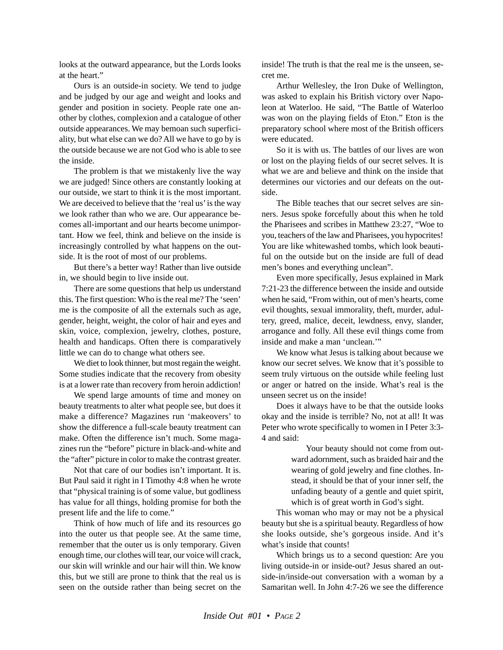looks at the outward appearance, but the Lords looks at the heart."

Ours is an outside-in society. We tend to judge and be judged by our age and weight and looks and gender and position in society. People rate one another by clothes, complexion and a catalogue of other outside appearances. We may bemoan such superficiality, but what else can we do? All we have to go by is the outside because we are not God who is able to see the inside.

The problem is that we mistakenly live the way we are judged! Since others are constantly looking at our outside, we start to think it is the most important. We are deceived to believe that the 'real us' is the way we look rather than who we are. Our appearance becomes all-important and our hearts become unimportant. How we feel, think and believe on the inside is increasingly controlled by what happens on the outside. It is the root of most of our problems.

But there's a better way! Rather than live outside in, we should begin to live inside out.

There are some questions that help us understand this. The first question: Who is the real me? The 'seen' me is the composite of all the externals such as age, gender, height, weight, the color of hair and eyes and skin, voice, complexion, jewelry, clothes, posture, health and handicaps. Often there is comparatively little we can do to change what others see.

We diet to look thinner, but most regain the weight. Some studies indicate that the recovery from obesity is at a lower rate than recovery from heroin addiction!

We spend large amounts of time and money on beauty treatments to alter what people see, but does it make a difference? Magazines run 'makeovers' to show the difference a full-scale beauty treatment can make. Often the difference isn't much. Some magazines run the "before" picture in black-and-white and the "after" picture in color to make the contrast greater.

Not that care of our bodies isn't important. It is. But Paul said it right in I Timothy 4:8 when he wrote that "physical training is of some value, but godliness has value for all things, holding promise for both the present life and the life to come."

Think of how much of life and its resources go into the outer us that people see. At the same time, remember that the outer us is only temporary. Given enough time, our clothes will tear, our voice will crack, our skin will wrinkle and our hair will thin. We know this, but we still are prone to think that the real us is seen on the outside rather than being secret on the inside! The truth is that the real me is the unseen, secret me.

Arthur Wellesley, the Iron Duke of Wellington, was asked to explain his British victory over Napoleon at Waterloo. He said, "The Battle of Waterloo was won on the playing fields of Eton." Eton is the preparatory school where most of the British officers were educated.

So it is with us. The battles of our lives are won or lost on the playing fields of our secret selves. It is what we are and believe and think on the inside that determines our victories and our defeats on the outside.

The Bible teaches that our secret selves are sinners. Jesus spoke forcefully about this when he told the Pharisees and scribes in Matthew 23:27, "Woe to you, teachers of the law and Pharisees, you hypocrites! You are like whitewashed tombs, which look beautiful on the outside but on the inside are full of dead men's bones and everything unclean".

Even more specifically, Jesus explained in Mark 7:21-23 the difference between the inside and outside when he said, "From within, out of men's hearts, come evil thoughts, sexual immorality, theft, murder, adultery, greed, malice, deceit, lewdness, envy, slander, arrogance and folly. All these evil things come from inside and make a man 'unclean.'"

We know what Jesus is talking about because we know our secret selves. We know that it's possible to seem truly virtuous on the outside while feeling lust or anger or hatred on the inside. What's real is the unseen secret us on the inside!

Does it always have to be that the outside looks okay and the inside is terrible? No, not at all! It was Peter who wrote specifically to women in I Peter 3:3- 4 and said:

> Your beauty should not come from outward adornment, such as braided hair and the wearing of gold jewelry and fine clothes. Instead, it should be that of your inner self, the unfading beauty of a gentle and quiet spirit, which is of great worth in God's sight.

This woman who may or may not be a physical beauty but she is a spiritual beauty. Regardless of how she looks outside, she's gorgeous inside. And it's what's inside that counts!

Which brings us to a second question: Are you living outside-in or inside-out? Jesus shared an outside-in/inside-out conversation with a woman by a Samaritan well. In John 4:7-26 we see the difference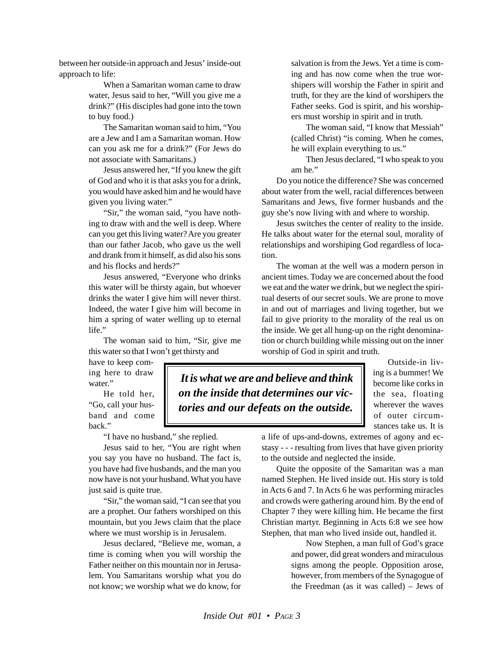between her outside-in approach and Jesus' inside-out approach to life:

> When a Samaritan woman came to draw water, Jesus said to her, "Will you give me a drink?" (His disciples had gone into the town to buy food.)

> The Samaritan woman said to him, "You are a Jew and I am a Samaritan woman. How can you ask me for a drink?" (For Jews do not associate with Samaritans.)

> Jesus answered her, "If you knew the gift of God and who it is that asks you for a drink, you would have asked him and he would have given you living water."

> "Sir," the woman said, "you have nothing to draw with and the well is deep. Where can you get this living water? Are you greater than our father Jacob, who gave us the well and drank from it himself, as did also his sons and his flocks and herds?"

> Jesus answered, "Everyone who drinks this water will be thirsty again, but whoever drinks the water I give him will never thirst. Indeed, the water I give him will become in him a spring of water welling up to eternal life."

The woman said to him, "Sir, give me this water so that I won't get thirsty and

have to keep coming here to draw water."

He told her, "Go, call your husband and come back."

"I have no husband," she replied.

Jesus said to her, "You are right when you say you have no husband. The fact is, you have had five husbands, and the man you now have is not your husband. What you have just said is quite true.

"Sir," the woman said, "I can see that you are a prophet. Our fathers worshiped on this mountain, but you Jews claim that the place where we must worship is in Jerusalem.

Jesus declared, "Believe me, woman, a time is coming when you will worship the Father neither on this mountain nor in Jerusalem. You Samaritans worship what you do not know; we worship what we do know, for salvation is from the Jews. Yet a time is coming and has now come when the true worshipers will worship the Father in spirit and truth, for they are the kind of worshipers the Father seeks. God is spirit, and his worshipers must worship in spirit and in truth.

The woman said, "I know that Messiah" (called Christ) "is coming. When he comes, he will explain everything to us."

Then Jesus declared, "I who speak to you am he."

Do you notice the difference? She was concerned about water from the well, racial differences between Samaritans and Jews, five former husbands and the guy she's now living with and where to worship.

Jesus switches the center of reality to the inside. He talks about water for the eternal soul, morality of relationships and worshiping God regardless of location.

The woman at the well was a modern person in ancient times. Today we are concerned about the food we eat and the water we drink, but we neglect the spiritual deserts of our secret souls. We are prone to move in and out of marriages and living together, but we fail to give priority to the morality of the real us on the inside. We get all hung-up on the right denomination or church building while missing out on the inner worship of God in spirit and truth.

 *It is what we are and believe and think on the inside that determines our victories and our defeats on the outside.*

Outside-in living is a bummer! We become like corks in the sea, floating wherever the waves of outer circumstances take us. It is

a life of ups-and-downs, extremes of agony and ecstasy - - - resulting from lives that have given priority to the outside and neglected the inside.

Quite the opposite of the Samaritan was a man named Stephen. He lived inside out. His story is told in Acts 6 and 7. In Acts 6 he was performing miracles and crowds were gathering around him. By the end of Chapter 7 they were killing him. He became the first Christian martyr. Beginning in Acts 6:8 we see how Stephen, that man who lived inside out, handled it.

Now Stephen, a man full of God's grace and power, did great wonders and miraculous signs among the people. Opposition arose, however, from members of the Synagogue of the Freedman (as it was called) – Jews of